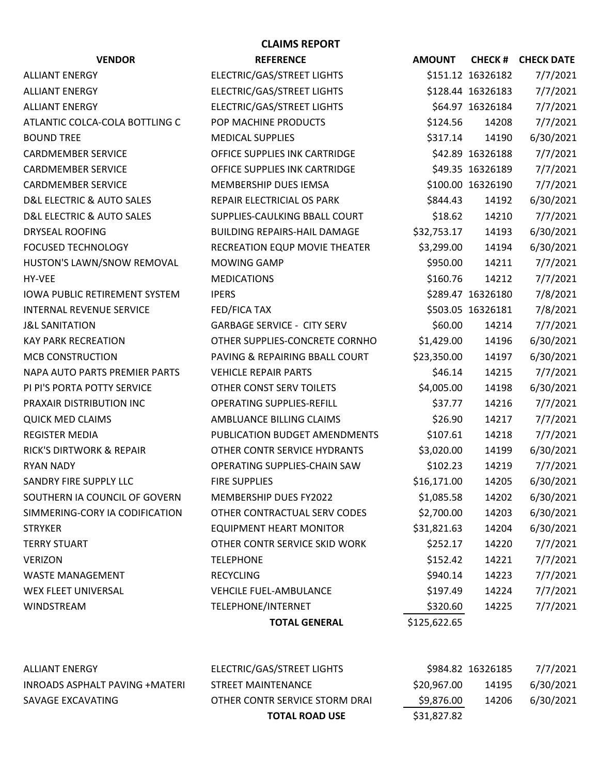| <b>VENDOR</b>                        | <b>REFERENCE</b>                    | <b>AMOUNT</b> |                   | <b>CHECK # CHECK DATE</b> |
|--------------------------------------|-------------------------------------|---------------|-------------------|---------------------------|
| <b>ALLIANT ENERGY</b>                | ELECTRIC/GAS/STREET LIGHTS          |               | \$151.12 16326182 | 7/7/2021                  |
| <b>ALLIANT ENERGY</b>                | ELECTRIC/GAS/STREET LIGHTS          |               | \$128.44 16326183 | 7/7/2021                  |
| <b>ALLIANT ENERGY</b>                | ELECTRIC/GAS/STREET LIGHTS          |               | \$64.97 16326184  | 7/7/2021                  |
| ATLANTIC COLCA-COLA BOTTLING C       | POP MACHINE PRODUCTS                | \$124.56      | 14208             | 7/7/2021                  |
| <b>BOUND TREE</b>                    | <b>MEDICAL SUPPLIES</b>             | \$317.14      | 14190             | 6/30/2021                 |
| <b>CARDMEMBER SERVICE</b>            | OFFICE SUPPLIES INK CARTRIDGE       |               | \$42.89 16326188  | 7/7/2021                  |
| <b>CARDMEMBER SERVICE</b>            | OFFICE SUPPLIES INK CARTRIDGE       |               | \$49.35 16326189  | 7/7/2021                  |
| <b>CARDMEMBER SERVICE</b>            | MEMBERSHIP DUES IEMSA               |               | \$100.00 16326190 | 7/7/2021                  |
| D&L ELECTRIC & AUTO SALES            | REPAIR ELECTRICIAL OS PARK          | \$844.43      | 14192             | 6/30/2021                 |
| D&L ELECTRIC & AUTO SALES            | SUPPLIES-CAULKING BBALL COURT       | \$18.62       | 14210             | 7/7/2021                  |
| <b>DRYSEAL ROOFING</b>               | <b>BUILDING REPAIRS-HAIL DAMAGE</b> | \$32,753.17   | 14193             | 6/30/2021                 |
| <b>FOCUSED TECHNOLOGY</b>            | RECREATION EQUP MOVIE THEATER       | \$3,299.00    | 14194             | 6/30/2021                 |
| HUSTON'S LAWN/SNOW REMOVAL           | <b>MOWING GAMP</b>                  | \$950.00      | 14211             | 7/7/2021                  |
| HY-VEE                               | <b>MEDICATIONS</b>                  | \$160.76      | 14212             | 7/7/2021                  |
| <b>IOWA PUBLIC RETIREMENT SYSTEM</b> | <b>IPERS</b>                        |               | \$289.47 16326180 | 7/8/2021                  |
| <b>INTERNAL REVENUE SERVICE</b>      | FED/FICA TAX                        |               | \$503.05 16326181 | 7/8/2021                  |
| <b>J&amp;L SANITATION</b>            | <b>GARBAGE SERVICE - CITY SERV</b>  | \$60.00       | 14214             | 7/7/2021                  |
| <b>KAY PARK RECREATION</b>           | OTHER SUPPLIES-CONCRETE CORNHO      | \$1,429.00    | 14196             | 6/30/2021                 |
| <b>MCB CONSTRUCTION</b>              | PAVING & REPAIRING BBALL COURT      | \$23,350.00   | 14197             | 6/30/2021                 |
| NAPA AUTO PARTS PREMIER PARTS        | <b>VEHICLE REPAIR PARTS</b>         | \$46.14       | 14215             | 7/7/2021                  |
| PI PI'S PORTA POTTY SERVICE          | OTHER CONST SERV TOILETS            | \$4,005.00    | 14198             | 6/30/2021                 |
| PRAXAIR DISTRIBUTION INC             | <b>OPERATING SUPPLIES-REFILL</b>    | \$37.77       | 14216             | 7/7/2021                  |
| <b>QUICK MED CLAIMS</b>              | AMBLUANCE BILLING CLAIMS            | \$26.90       | 14217             | 7/7/2021                  |
| <b>REGISTER MEDIA</b>                | PUBLICATION BUDGET AMENDMENTS       | \$107.61      | 14218             | 7/7/2021                  |
| <b>RICK'S DIRTWORK &amp; REPAIR</b>  | OTHER CONTR SERVICE HYDRANTS        | \$3,020.00    | 14199             | 6/30/2021                 |
| <b>RYAN NADY</b>                     | OPERATING SUPPLIES-CHAIN SAW        | \$102.23      | 14219             | 7/7/2021                  |
| SANDRY FIRE SUPPLY LLC               | <b>FIRE SUPPLIES</b>                | \$16,171.00   | 14205             | 6/30/2021                 |
| SOUTHERN IA COUNCIL OF GOVERN        | MEMBERSHIP DUES FY2022              | \$1,085.58    | 14202             | 6/30/2021                 |
| SIMMERING-CORY IA CODIFICATION       | OTHER CONTRACTUAL SERV CODES        | \$2,700.00    | 14203             | 6/30/2021                 |
| <b>STRYKER</b>                       | <b>EQUIPMENT HEART MONITOR</b>      | \$31,821.63   | 14204             | 6/30/2021                 |
| <b>TERRY STUART</b>                  | OTHER CONTR SERVICE SKID WORK       | \$252.17      | 14220             | 7/7/2021                  |
| <b>VERIZON</b>                       | <b>TELEPHONE</b>                    | \$152.42      | 14221             | 7/7/2021                  |
| <b>WASTE MANAGEMENT</b>              | <b>RECYCLING</b>                    | \$940.14      | 14223             | 7/7/2021                  |
| WEX FLEET UNIVERSAL                  | <b>VEHCILE FUEL-AMBULANCE</b>       | \$197.49      | 14224             | 7/7/2021                  |
| <b>WINDSTREAM</b>                    | TELEPHONE/INTERNET                  | \$320.60      | 14225             | 7/7/2021                  |
|                                      | <b>TOTAL GENERAL</b>                | \$125,622.65  |                   |                           |
|                                      |                                     |               |                   |                           |

**CLAIMS REPORT**

|                                | <b>TOTAL ROAD USE</b>          | \$31,827.82       |       |           |
|--------------------------------|--------------------------------|-------------------|-------|-----------|
| SAVAGE EXCAVATING              | OTHER CONTR SERVICE STORM DRAI | \$9,876.00        | 14206 | 6/30/2021 |
| INROADS ASPHALT PAVING +MATERI | STREET MAINTENANCE             | S20.967.00        | 14195 | 6/30/2021 |
| ALLIANT ENERGY                 | ELECTRIC/GAS/STREET LIGHTS     | \$984.82 16326185 |       | 7/7/2021  |